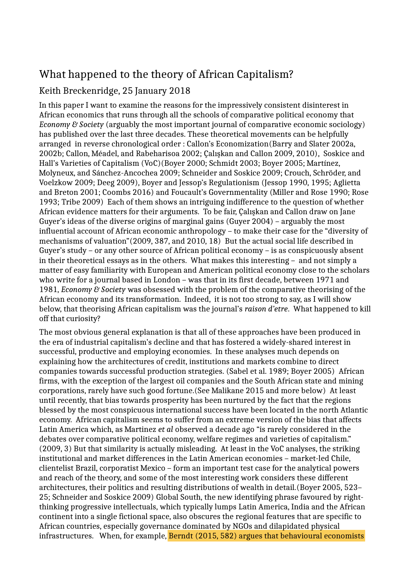# What happened to the theory of African Capitalism?

# Keith Breckenridge, 25 January 2018

In this paper I want to examine the reasons for the impressively consistent disinterest in African economics that runs through all the schools of comparative political economy that *Economy & Society* (arguably the most important journal of comparative economic sociology) has published over the last three decades. These theoretical movements can be helpfully arranged in reverse chronological order : Callon's Economization(Barry and Slater 2002a, 2002b; Callon, Méadel, and Rabeharisoa 2002; Çalışkan and Callon 2009, 2010), Soskice and Hall's Varieties of Capitalism (VoC)(Boyer 2000; Schmidt 2003; Boyer 2005; Martínez, Molyneux, and Sánchez-Ancochea 2009; Schneider and Soskice 2009; Crouch, Schröder, and Voelzkow 2009; Deeg 2009), Boyer and Jessop's Regulationism (Jessop 1990, 1995; Aglietta and Breton 2001; Coombs 2016) and Foucault's Governmentality (Miller and Rose 1990; Rose 1993; Tribe 2009) Each of them shows an intriguing indifference to the question of whether African evidence matters for their arguments. To be fair, Çalışkan and Callon draw on Jane Guyer's ideas of the diverse origins of marginal gains (Guyer 2004) – arguably the most influential account of African economic anthropology – to make their case for the "diversity of mechanisms of valuation"(2009, 387, and 2010, 18) But the actual social life described in Guyer's study – or any other source of African political economy – is as conspicuously absent in their theoretical essays as in the others. What makes this interesting – and not simply a matter of easy familiarity with European and American political economy close to the scholars who write for a journal based in London – was that in its first decade, between 1971 and 1981, *Economy & Society* was obsessed with the problem of the comparative theorising of the African economy and its transformation. Indeed, it is not too strong to say, as I will show below, that theorising African capitalism was the journal's *raison d'etre*. What happened to kill off that curiosity?

The most obvious general explanation is that all of these approaches have been produced in the era of industrial capitalism's decline and that has fostered a widely-shared interest in successful, productive and employing economies. In these analyses much depends on explaining how the architectures of credit, institutions and markets combine to direct companies towards successful production strategies. (Sabel et al. 1989; Boyer 2005) African firms, with the exception of the largest oil companies and the South African state and mining corporations, rarely have such good fortune.(See Malikane 2015 and more below) At least until recently, that bias towards prosperity has been nurtured by the fact that the regions blessed by the most conspicuous international success have been located in the north Atlantic economy. African capitalism seems to suffer from an extreme version of the bias that affects Latin America which, as Martinez *et al* observed a decade ago "is rarely considered in the debates over comparative political economy, welfare regimes and varieties of capitalism." (2009, 3) But that similarity is actually misleading. At least in the VoC analyses, the striking institutional and market differences in the Latin American economies – market-led Chile, clientelist Brazil, corporatist Mexico – form an important test case for the analytical powers and reach of the theory, and some of the most interesting work considers these different architectures, their politics and resulting distributions of wealth in detail.(Boyer 2005, 523– 25; Schneider and Soskice 2009) Global South, the new identifying phrase favoured by rightthinking progressive intellectuals, which typically lumps Latin America, India and the African continent into a single fictional space, also obscures the regional features that are specific to African countries, especially governance dominated by NGOs and dilapidated physical infrastructures. When, for example, Berndt (2015, 582) argues that behavioural economists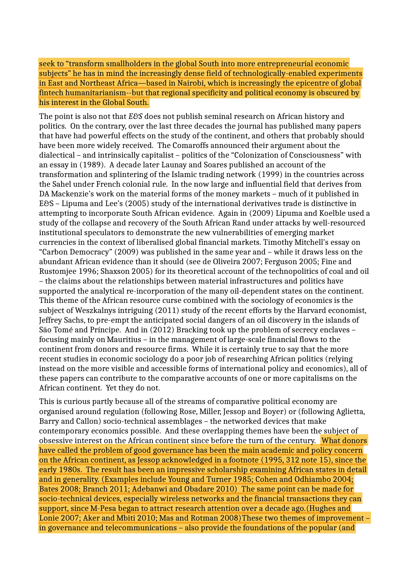seek to "transform smallholders in the global South into more entrepreneurial economic subjects" he has in mind the increasingly dense field of technologically-enabled experiments in East and Northeast Africa—based in Nairobi, which is increasingly the epicentre of global fintech humanitarianism--but that regional specificity and political economy is obscured by his interest in the Global South.

The point is also not that *E&S* does not publish seminal research on African history and politics. On the contrary, over the last three decades the journal has published many papers that have had powerful effects on the study of the continent, and others that probably should have been more widely received. The Comaroffs announced their argument about the dialectical – and intrinsically capitalist – politics of the "Colonization of Consciousness" with an essay in (1989). A decade later Launay and Soares published an account of the transformation and splintering of the Islamic trading network (1999) in the countries across the Sahel under French colonial rule. In the now large and influential field that derives from DA Mackenzie's work on the material forms of the money markets – much of it published in E&S – Lipuma and Lee's (2005) study of the international derivatives trade is distinctive in attempting to incorporate South African evidence. Again in (2009) Lipuma and Koelble used a study of the collapse and recovery of the South African Rand under attacks by well-resourced institutional speculators to demonstrate the new vulnerabilities of emerging market currencies in the context of liberalised global financial markets. Timothy Mitchell's essay on "Carbon Democracy" (2009) was published in the same year and – while it draws less on the abundant African evidence than it should (see de Oliveira 2007; Ferguson 2005; Fine and Rustomjee 1996; Shaxson 2005) for its theoretical account of the technopolitics of coal and oil – the claims about the relationships between material infrastructures and politics have supported the analytical re-incorporation of the many oil-dependent states on the continent. This theme of the African resource curse combined with the sociology of economics is the subject of Weszkalnys intriguing (2011) study of the recent efforts by the Harvard economist, Jeffrey Sachs, to pre-empt the anticipated social dangers of an oil discovery in the islands of Sāo Tomé and Príncipe. And in (2012) Bracking took up the problem of secrecy enclaves – focusing mainly on Mauritius – in the management of large-scale financial flows to the continent from donors and resource firms. While it is certainly true to say that the more recent studies in economic sociology do a poor job of researching African politics (relying instead on the more visible and accessible forms of international policy and economics), all of these papers can contribute to the comparative accounts of one or more capitalisms on the African continent. Yet they do not.

This is curious partly because all of the streams of comparative political economy are organised around regulation (following Rose, Miller, Jessop and Boyer) or (following Aglietta, Barry and Callon) socio-technical assemblages – the networked devices that make contemporary economics possible. And these overlapping themes have been the subject of obsessive interest on the African continent since before the turn of the century. What donors have called the problem of good governance has been the main academic and policy concern on the African continent, as Jessop acknowledged in a footnote (1995, 312 note 15), since the early 1980s. The result has been an impressive scholarship examining African states in detail and in generality. (Examples include Young and Turner 1985; Cohen and Odhiambo 2004; Bates 2008; Branch 2011; Adebanwi and Obadare 2010) The same point can be made for socio-technical devices, especially wireless networks and the financial transactions they can support, since M-Pesa began to attract research attention over a decade ago.(Hughes and Lonie 2007; Aker and Mbiti 2010; Mas and Rotman 2008)These two themes of improvement – in governance and telecommunications – also provide the foundations of the popular (and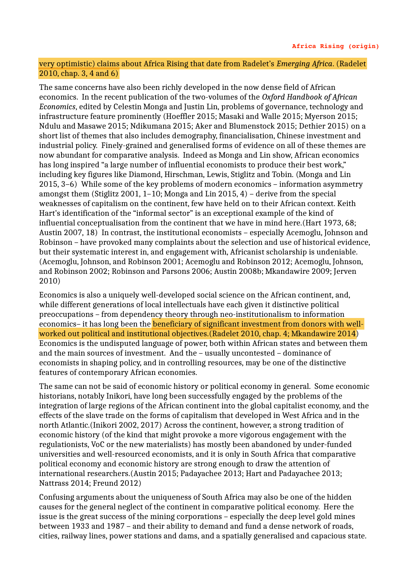### very optimistic) claims about Africa Rising that date from Radelet's *Emerging Africa*. (Radelet 2010, chap. 3, 4 and 6)

The same concerns have also been richly developed in the now dense field of African economics. In the recent publication of the two-volumes of the *Oxford Handbook of African Economics*, edited by Celestin Monga and Justin Lin, problems of governance, technology and infrastructure feature prominently (Hoeffler 2015; Masaki and Walle 2015; Myerson 2015; Ndulu and Masawe 2015; Ndikumana 2015; Aker and Blumenstock 2015; Dethier 2015) on a short list of themes that also includes demography, financialisation, Chinese investment and industrial policy. Finely-grained and generalised forms of evidence on all of these themes are now abundant for comparative analysis. Indeed as Monga and Lin show, African economics has long inspired "a large number of influential economists to produce their best work," including key figures like Diamond, Hirschman, Lewis, Stiglitz and Tobin. (Monga and Lin 2015, 3–6) While some of the key problems of modern economics – information asymmetry amongst them (Stiglitz 2001, 1–10; Monga and Lin 2015, 4) – derive from the special weaknesses of capitalism on the continent, few have held on to their African context. Keith Hart's identification of the "informal sector" is an exceptional example of the kind of influential conceptualisation from the continent that we have in mind here.(Hart 1973, 68; Austin 2007, 18) In contrast, the institutional economists – especially Acemoglu, Johnson and Robinson – have provoked many complaints about the selection and use of historical evidence, but their systematic interest in, and engagement with, Africanist scholarship is undeniable. (Acemoglu, Johnson, and Robinson 2001; Acemoglu and Robinson 2012; Acemoglu, Johnson, and Robinson 2002; Robinson and Parsons 2006; Austin 2008b; Mkandawire 2009; Jerven 2010)

Economics is also a uniquely well-developed social science on the African continent, and, while different generations of local intellectuals have each given it distinctive political preoccupations – from dependency theory through neo-institutionalism to information economics– it has long been the beneficiary of significant investment from donors with wellworked out political and institutional objectives.(Radelet 2010, chap. 4; Mkandawire 2014) Economics is the undisputed language of power, both within African states and between them and the main sources of investment. And the – usually uncontested – dominance of economists in shaping policy, and in controlling resources, may be one of the distinctive features of contemporary African economies.

The same can not be said of economic history or political economy in general. Some economic historians, notably Inikori, have long been successfully engaged by the problems of the integration of large regions of the African continent into the global capitalist economy, and the effects of the slave trade on the forms of capitalism that developed in West Africa and in the north Atlantic.(Inikori 2002, 2017) Across the continent, however, a strong tradition of economic history (of the kind that might provoke a more vigorous engagement with the regulationists, VoC or the new materialists) has mostly been abandoned by under-funded universities and well-resourced economists, and it is only in South Africa that comparative political economy and economic history are strong enough to draw the attention of international researchers.(Austin 2015; Padayachee 2013; Hart and Padayachee 2013; Nattrass 2014; Freund 2012)

Confusing arguments about the uniqueness of South Africa may also be one of the hidden causes for the general neglect of the continent in comparative political economy. Here the issue is the great success of the mining corporations – especially the deep level gold mines between 1933 and 1987 – and their ability to demand and fund a dense network of roads, cities, railway lines, power stations and dams, and a spatially generalised and capacious state.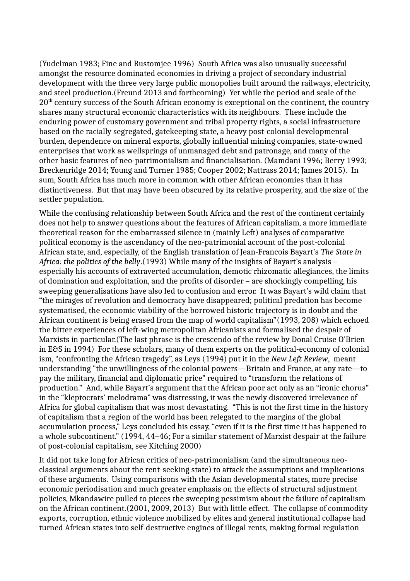(Yudelman 1983; Fine and Rustomjee 1996) South Africa was also unusually successful amongst the resource dominated economies in driving a project of secondary industrial development with the three very large public monopolies built around the railways, electricity, and steel production.(Freund 2013 and forthcoming) Yet while the period and scale of the 20<sup>th</sup> century success of the South African economy is exceptional on the continent, the country shares many structural economic characteristics with its neighbours. These include the enduring power of customary government and tribal property rights, a social infrastructure based on the racially segregated, gatekeeping state, a heavy post-colonial developmental burden, dependence on mineral exports, globally influential mining companies, state-owned enterprises that work as wellsprings of unmanaged debt and patronage, and many of the other basic features of neo-patrimonialism and financialisation. (Mamdani 1996; Berry 1993; Breckenridge 2014; Young and Turner 1985; Cooper 2002; Nattrass 2014; James 2015). In sum, South Africa has much more in common with other African economies than it has distinctiveness. But that may have been obscured by its relative prosperity, and the size of the settler population.

While the confusing relationship between South Africa and the rest of the continent certainly does not help to answer questions about the features of African capitalism, a more immediate theoretical reason for the embarrassed silence in (mainly Left) analyses of comparative political economy is the ascendancy of the neo-patrimonial account of the post-colonial African state, and, especially, of the English translation of Jean-Francois Bayart's *The State in Africa: the politics of the belly*.(1993) While many of the insights of Bayart's analysis – especially his accounts of extraverted accumulation, demotic rhizomatic allegiances, the limits of domination and exploitation, and the profits of disorder – are shockingly compelling, his sweeping generalisations have also led to confusion and error. It was Bayart's wild claim that "the mirages of revolution and democracy have disappeared; political predation has become systematised, the economic viability of the borrowed historic trajectory is in doubt and the African continent is being erased from the map of world capitalism"(1993, 208) which echoed the bitter experiences of left-wing metropolitan Africanists and formalised the despair of Marxists in particular.(The last phrase is the crescendo of the review by Donal Cruise O'Brien in E&S in 1994) For these scholars, many of them experts on the political-economy of colonial ism, "confronting the African tragedy", as Leys (1994) put it in the *New Left Review*, meant understanding "the unwillingness of the colonial powers—Britain and France, at any rate—to pay the military, financial and diplomatic price" required to "transform the relations of production." And, while Bayart's argument that the African poor act only as an "ironic chorus" in the "kleptocrats' melodrama" was distressing, it was the newly discovered irrelevance of Africa for global capitalism that was most devastating. "This is not the first time in the history of capitalism that a region of the world has been relegated to the margins of the global accumulation process," Leys concluded his essay, "even if it is the first time it has happened to a whole subcontinent." (1994, 44–46; For a similar statement of Marxist despair at the failure of post-colonial capitalism, see Kitching 2000)

It did not take long for African critics of neo-patrimonialism (and the simultaneous neoclassical arguments about the rent-seeking state) to attack the assumptions and implications of these arguments. Using comparisons with the Asian developmental states, more precise economic periodisation and much greater emphasis on the effects of structural adjustment policies, Mkandawire pulled to pieces the sweeping pessimism about the failure of capitalism on the African continent.(2001, 2009, 2013) But with little effect. The collapse of commodity exports, corruption, ethnic violence mobilized by elites and general institutional collapse had turned African states into self-destructive engines of illegal rents, making formal regulation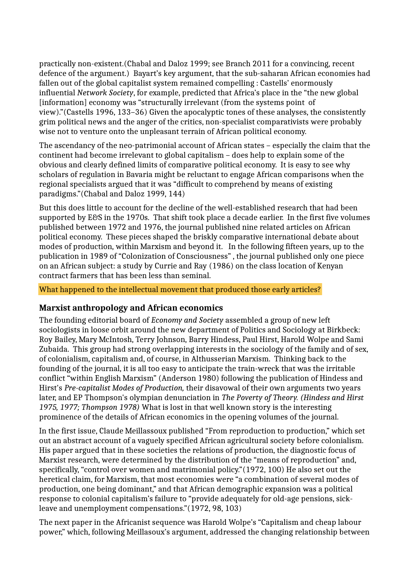practically non-existent.(Chabal and Daloz 1999; see Branch 2011 for a convincing, recent defence of the argument.) Bayart's key argument, that the sub-saharan African economies had fallen out of the global capitalist system remained compelling : Castells' enormously influential *Network Society*, for example, predicted that Africa's place in the "the new global [information] economy was "structurally irrelevant (from the systems point of view)."(Castells 1996, 133–36) Given the apocalyptic tones of these analyses, the consistently grim political news and the anger of the critics, non-specialist comparativists were probably wise not to venture onto the unpleasant terrain of African political economy.

The ascendancy of the neo-patrimonial account of African states – especially the claim that the continent had become irrelevant to global capitalism – does help to explain some of the obvious and clearly defined limits of comparative political economy. It is easy to see why scholars of regulation in Bavaria might be reluctant to engage African comparisons when the regional specialists argued that it was "difficult to comprehend by means of existing paradigms."(Chabal and Daloz 1999, 144)

But this does little to account for the decline of the well-established research that had been supported by E&S in the 1970s. That shift took place a decade earlier. In the first five volumes published between 1972 and 1976, the journal published nine related articles on African political economy. These pieces shaped the briskly comparative international debate about modes of production, within Marxism and beyond it. In the following fifteen years, up to the publication in 1989 of "Colonization of Consciousness" , the journal published only one piece on an African subject: a study by Currie and Ray (1986) on the class location of Kenyan contract farmers that has been less than seminal.

#### What happened to the intellectual movement that produced those early articles?

### **Marxist anthropology and African economics**

The founding editorial board of *Economy and Society* assembled a group of new left sociologists in loose orbit around the new department of Politics and Sociology at Birkbeck: Roy Bailey, Mary McIntosh, Terry Johnson, Barry Hindess, Paul Hirst, Harold Wolpe and Sami Zubaida. This group had strong overlapping interests in the sociology of the family and of sex, of colonialism, capitalism and, of course, in Althusserian Marxism. Thinking back to the founding of the journal, it is all too easy to anticipate the train-wreck that was the irritable conflict "within English Marxism" (Anderson 1980) following the publication of Hindess and Hirst's *Pre-capitalist Modes of Production,* their disavowal of their own arguments two years later, and EP Thompson's olympian denunciation in *The Poverty of Theory. (Hindess and Hirst 1975, 1977; Thompson 1978)* What is lost in that well known story is the interesting prominence of the details of African economics in the opening volumes of the journal.

In the first issue, Claude Meillassoux published "From reproduction to production," which set out an abstract account of a vaguely specified African agricultural society before colonialism. His paper argued that in these societies the relations of production, the diagnostic focus of Marxist research, were determined by the distribution of the "means of reproduction" and, specifically, "control over women and matrimonial policy."(1972, 100) He also set out the heretical claim, for Marxism, that most economies were "a combination of several modes of production, one being dominant," and that African demographic expansion was a political response to colonial capitalism's failure to "provide adequately for old-age pensions, sickleave and unemployment compensations."(1972, 98, 103)

The next paper in the Africanist sequence was Harold Wolpe's "Capitalism and cheap labour power," which, following Meillasoux's argument, addressed the changing relationship between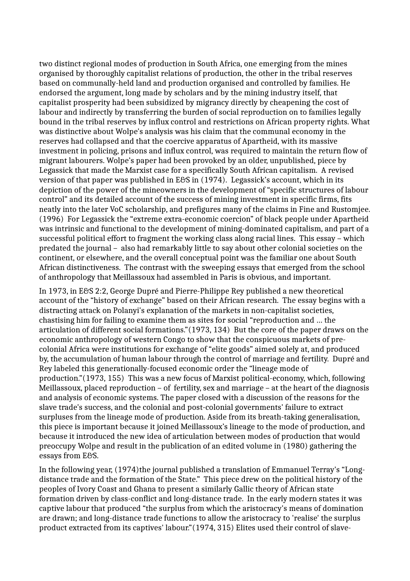two distinct regional modes of production in South Africa, one emerging from the mines organised by thoroughly capitalist relations of production, the other in the tribal reserves based on communally-held land and production organised and controlled by families. He endorsed the argument, long made by scholars and by the mining industry itself, that capitalist prosperity had been subsidized by migrancy directly by cheapening the cost of labour and indirectly by transferring the burden of social reproduction on to families legally bound in the tribal reserves by influx control and restrictions on African property rights. What was distinctive about Wolpe's analysis was his claim that the communal economy in the reserves had collapsed and that the coercive apparatus of Apartheid, with its massive investment in policing, prisons and influx control, was required to maintain the return flow of migrant labourers. Wolpe's paper had been provoked by an older, unpublished, piece by Legassick that made the Marxist case for a specifically South African capitalism. A revised version of that paper was published in E&S in (1974). Legassick's account, which in its depiction of the power of the mineowners in the development of "specific structures of labour control" and its detailed account of the success of mining investment in specific firms, fits neatly into the later VoC scholarship, and prefigures many of the claims in Fine and Rustomjee. (1996) For Legassick the "extreme extra-economic coercion" of black people under Apartheid was intrinsic and functional to the development of mining-dominated capitalism, and part of a successful political effort to fragment the working class along racial lines. This essay – which predated the journal – also had remarkably little to say about other colonial societies on the continent, or elsewhere, and the overall conceptual point was the familiar one about South African distinctiveness. The contrast with the sweeping essays that emerged from the school of anthropology that Meillassoux had assembled in Paris is obvious, and important.

In 1973, in E&S 2:2, George Dupré and Pierre-Philippe Rey published a new theoretical account of the "history of exchange" based on their African research. The essay begins with a distracting attack on Polanyi's explanation of the markets in non-capitalist societies, chastising him for failing to examine them as sites for social "reproduction and … the articulation of different social formations."(1973, 134) But the core of the paper draws on the economic anthropology of western Congo to show that the conspicuous markets of precolonial Africa were institutions for exchange of "elite goods" aimed solely at, and produced by, the accumulation of human labour through the control of marriage and fertility. Dupré and Rey labeled this generationally-focused economic order the "lineage mode of production."(1973, 155) This was a new focus of Marxist political-economy, which, following Meillassoux, placed reproduction – of fertility, sex and marriage – at the heart of the diagnosis and analysis of economic systems. The paper closed with a discussion of the reasons for the slave trade's success, and the colonial and post-colonial governments' failure to extract surpluses from the lineage mode of production. Aside from its breath-taking generalisation, this piece is important because it joined Meillassoux's lineage to the mode of production, and because it introduced the new idea of articulation between modes of production that would preoccupy Wolpe and result in the publication of an edited volume in (1980) gathering the essays from E&S.

In the following year, (1974)the journal published a translation of Emmanuel Terray's "Longdistance trade and the formation of the State." This piece drew on the political history of the peoples of Ivory Coast and Ghana to present a similarly Gallic theory of African state formation driven by class-conflict and long-distance trade. In the early modern states it was captive labour that produced "the surplus from which the aristocracy's means of domination are drawn; and long-distance trade functions to allow the aristocracy to 'realise' the surplus product extracted from its captives' labour."(1974, 315) Elites used their control of slave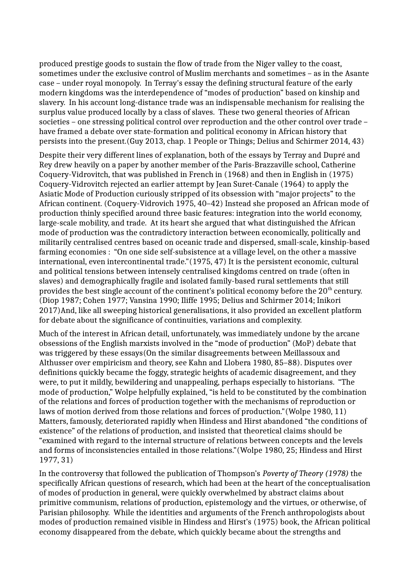produced prestige goods to sustain the flow of trade from the Niger valley to the coast, sometimes under the exclusive control of Muslim merchants and sometimes – as in the Asante case – under royal monopoly. In Terray's essay the defining structural feature of the early modern kingdoms was the interdependence of "modes of production" based on kinship and slavery. In his account long-distance trade was an indispensable mechanism for realising the surplus value produced locally by a class of slaves. These two general theories of African societies – one stressing political control over reproduction and the other control over trade – have framed a debate over state-formation and political economy in African history that persists into the present.(Guy 2013, chap. 1 People or Things; Delius and Schirmer 2014, 43)

Despite their very different lines of explanation, both of the essays by Terray and Dupré and Rey drew heavily on a paper by another member of the Paris-Brazzaville school, Catherine Coquery-Vidrovitch, that was published in French in (1968) and then in English in (1975) Coquery-Vidrovitch rejected an earlier attempt by Jean Suret-Canale (1964) to apply the Asiatic Mode of Production curiously stripped of its obsession with "major projects" to the African continent. (Coquery-Vidrovich 1975, 40–42) Instead she proposed an African mode of production thinly specified around three basic features: integration into the world economy, large-scale mobility, and trade. At its heart she argued that what distinguished the African mode of production was the contradictory interaction between economically, politically and militarily centralised centres based on oceanic trade and dispersed, small-scale, kinship-based farming economies : "On one side self-subsistence at a village level, on the other a massive international, even intercontinental trade."(1975, 47) It is the persistent economic, cultural and political tensions between intensely centralised kingdoms centred on trade (often in slaves) and demographically fragile and isolated family-based rural settlements that still provides the best single account of the continent's political economy before the  $20<sup>th</sup>$  century. (Diop 1987; Cohen 1977; Vansina 1990; Iliffe 1995; Delius and Schirmer 2014; Inikori 2017)And, like all sweeping historical generalisations, it also provided an excellent platform for debate about the significance of continuities, variations and complexity.

Much of the interest in African detail, unfortunately, was immediately undone by the arcane obsessions of the English marxists involved in the "mode of production" (MoP) debate that was triggered by these essays(On the similar disagreements between Meillassoux and Althusser over empiricism and theory, see Kahn and Llobera 1980, 85–88). Disputes over definitions quickly became the foggy, strategic heights of academic disagreement, and they were, to put it mildly, bewildering and unappealing, perhaps especially to historians. "The mode of production," Wolpe helpfully explained, "is held to be constituted by the combination of the relations and forces of production together with the mechanisms of reproduction or laws of motion derived from those relations and forces of production."(Wolpe 1980, 11) Matters, famously, deteriorated rapidly when Hindess and Hirst abandoned "the conditions of existence" of the relations of production, and insisted that theoretical claims should be "examined with regard to the internal structure of relations between concepts and the levels and forms of inconsistencies entailed in those relations."(Wolpe 1980, 25; Hindess and Hirst 1977, 31)

In the controversy that followed the publication of Thompson's *Poverty of Theory (1978)* the specifically African questions of research, which had been at the heart of the conceptualisation of modes of production in general, were quickly overwhelmed by abstract claims about primitive communism, relations of production, epistemology and the virtues, or otherwise, of Parisian philosophy. While the identities and arguments of the French anthropologists about modes of production remained visible in Hindess and Hirst's (1975) book, the African political economy disappeared from the debate, which quickly became about the strengths and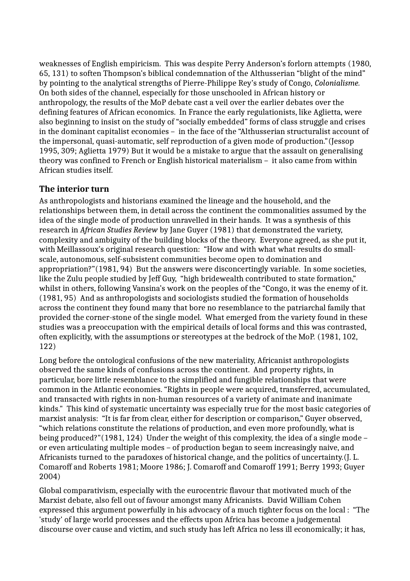weaknesses of English empiricism. This was despite Perry Anderson's forlorn attempts (1980, 65, 131) to soften Thompson's biblical condemnation of the Althusserian "blight of the mind" by pointing to the analytical strengths of Pierre-Philippe Rey's study of Congo, *Colonialisme.*  On both sides of the channel, especially for those unschooled in African history or anthropology, the results of the MoP debate cast a veil over the earlier debates over the defining features of African economics. In France the early regulationists, like Aglietta, were also beginning to insist on the study of "socially embedded" forms of class struggle and crises in the dominant capitalist economies – in the face of the "Althusserian structuralist account of the impersonal, quasi-automatic, self reproduction of a given mode of production."(Jessop 1995, 309; Aglietta 1979) But it would be a mistake to argue that the assault on generalising theory was confined to French or English historical materialism – it also came from within African studies itself.

## **The interior turn**

As anthropologists and historians examined the lineage and the household, and the relationships between them, in detail across the continent the commonalities assumed by the idea of the single mode of production unravelled in their hands. It was a synthesis of this research in *African Studies Review* by Jane Guyer (1981) that demonstrated the variety, complexity and ambiguity of the building blocks of the theory. Everyone agreed, as she put it, with Meillassoux's original research question: "How and with what what results do smallscale, autonomous, self-subsistent communities become open to domination and appropriation?"(1981, 94)But the answers were disconcertingly variable. In some societies, like the Zulu people studied by Jeff Guy, "high bridewealth contributed to state formation," whilst in others, following Vansina's work on the peoples of the "Congo, it was the enemy of it. (1981, 95) And as anthropologists and sociologists studied the formation of households across the continent they found many that bore no resemblance to the patriarchal family that provided the corner-stone of the single model. What emerged from the variety found in these studies was a preoccupation with the empirical details of local forms and this was contrasted, often explicitly, with the assumptions or stereotypes at the bedrock of the MoP. (1981, 102, 122)

Long before the ontological confusions of the new materiality, Africanist anthropologists observed the same kinds of confusions across the continent. And property rights, in particular, bore little resemblance to the simplified and fungible relationships that were common in the Atlantic economies. "Rights in people were acquired, transferred, accumulated, and transacted with rights in non-human resources of a variety of animate and inanimate kinds."This kind of systematic uncertainty was especially true for the most basic categories of marxist analysis: "It is far from clear, either for description or comparison," Guyer observed, "which relations constitute the relations of production, and even more profoundly, what is being produced?"(1981, 124) Under the weight of this complexity, the idea of a single mode – or even articulating multiple modes – of production began to seem increasingly naive, and Africanists turned to the paradoxes of historical change, and the politics of uncertainty.(J. L. Comaroff and Roberts 1981; Moore 1986; J. Comaroff and Comaroff 1991; Berry 1993; Guyer 2004)

Global comparativism, especially with the eurocentric flavour that motivated much of the Marxist debate, also fell out of favour amongst many Africanists. David William Cohen expressed this argument powerfully in his advocacy of a much tighter focus on the local : "The 'study' of large world processes and the effects upon Africa has become a judgemental discourse over cause and victim, and such study has left Africa no less ill economically; it has,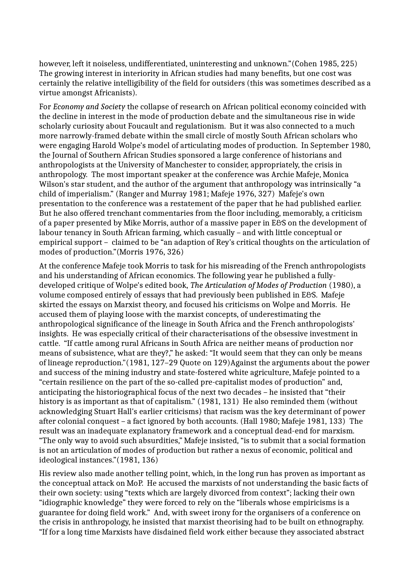however, left it noiseless, undifferentiated, uninteresting and unknown."(Cohen 1985, 225) The growing interest in interiority in African studies had many benefits, but one cost was certainly the relative intelligibility of the field for outsiders (this was sometimes described as a virtue amongst Africanists).

For *Economy and Society* the collapse of research on African political economy coincided with the decline in interest in the mode of production debate and the simultaneous rise in wide scholarly curiosity about Foucault and regulationism. But it was also connected to a much more narrowly-framed debate within the small circle of mostly South African scholars who were engaging Harold Wolpe's model of articulating modes of production. In September 1980, the Journal of Southern African Studies sponsored a large conference of historians and anthropologists at the University of Manchester to consider, appropriately, the crisis in anthropology. The most important speaker at the conference was Archie Mafeje, Monica Wilson's star student, and the author of the argument that anthropology was intrinsically "a child of imperialism." (Ranger and Murray 1981; Mafeje 1976, 327) Mafeje's own presentation to the conference was a restatement of the paper that he had published earlier. But he also offered trenchant commentaries from the floor including, memorably, a criticism of a paper presented by Mike Morris, author of a massive paper in E&S on the development of labour tenancy in South African farming, which casually – and with little conceptual or empirical support – claimed to be "an adaption of Rey's critical thoughts on the articulation of modes of production."(Morris 1976, 326)

At the conference Mafeje took Morris to task for his misreading of the French anthropologists and his understanding of African economics. The following year he published a fullydeveloped critique of Wolpe's edited book, *The Articulation of Modes of Production* (1980), a volume composed entirely of essays that had previously been published in E&S. Mafeje skirted the essays on Marxist theory, and focused his criticisms on Wolpe and Morris. He accused them of playing loose with the marxist concepts, of underestimating the anthropological significance of the lineage in South Africa and the French anthropologists' insights. He was especially critical of their characterisations of the obsessive investment in cattle. "If cattle among rural Africans in South Africa are neither means of production nor means of subsistence, what are they?," he asked: "It would seem that they can only be means of lineage reproduction."(1981, 127–29 Quote on 129)Against the arguments about the power and success of the mining industry and state-fostered white agriculture, Mafeje pointed to a "certain resilience on the part of the so-called pre-capitalist modes of production" and, anticipating the historiographical focus of the next two decades – he insisted that "their history is as important as that of capitalism." (1981, 131) He also reminded them (without acknowledging Stuart Hall's earlier criticisms) that racism was the key determinant of power after colonial conquest – a fact ignored by both accounts. (Hall 1980; Mafeje 1981, 133) The result was an inadequate explanatory framework and a conceptual dead-end for marxism. "The only way to avoid such absurdities," Mafeje insisted, "is to submit that a social formation is not an articulation of modes of production but rather a nexus of economic, political and ideological instances."(1981, 136)

His review also made another telling point, which, in the long run has proven as important as the conceptual attack on MoP. He accused the marxists of not understanding the basic facts of their own society: using "texts which are largely divorced from context"; lacking their own "idiographic knowledge" they were forced to rely on the "liberals whose empiricisms is a guarantee for doing field work." And, with sweet irony for the organisers of a conference on the crisis in anthropology, he insisted that marxist theorising had to be built on ethnography. "If for a long time Marxists have disdained field work either because they associated abstract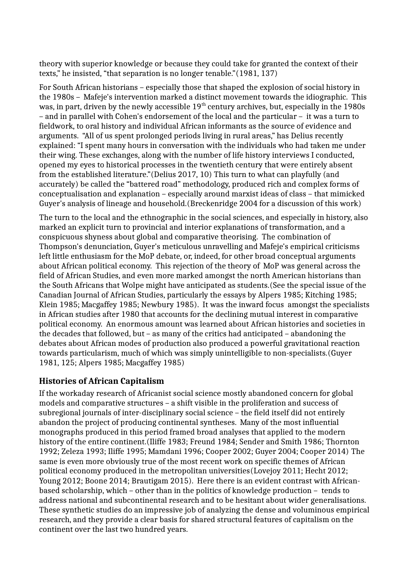theory with superior knowledge or because they could take for granted the context of their texts," he insisted, "that separation is no longer tenable."(1981, 137)

For South African historians – especially those that shaped the explosion of social history in the 1980s – Mafeje's intervention marked a distinct movement towards the idiographic. This was, in part, driven by the newly accessible  $19<sup>th</sup>$  century archives, but, especially in the 1980s – and in parallel with Cohen's endorsement of the local and the particular – it was a turn to fieldwork, to oral history and individual African informants as the source of evidence and arguments. "All of us spent prolonged periods living in rural areas," has Delius recently explained: "I spent many hours in conversation with the individuals who had taken me under their wing. These exchanges, along with the number of life history interviews I conducted, opened my eyes to historical processes in the twentieth century that were entirely absent from the established literature."(Delius 2017, 10) This turn to what can playfully (and accurately) be called the "battered road" methodology, produced rich and complex forms of conceptualisation and explanation – especially around marxist ideas of class – that mimicked Guyer's analysis of lineage and household.(Breckenridge 2004 for a discussion of this work)

The turn to the local and the ethnographic in the social sciences, and especially in history, also marked an explicit turn to provincial and interior explanations of transformation, and a conspicuous shyness about global and comparative theorising. The combination of Thompson's denunciation, Guyer's meticulous unravelling and Mafeje's empirical criticisms left little enthusiasm for the MoP debate, or, indeed, for other broad conceptual arguments about African political economy. This rejection of the theory of MoP was general across the field of African Studies, and even more marked amongst the north American historians than the South Africans that Wolpe might have anticipated as students.(See the special issue of the Canadian Journal of African Studies, particularly the essays by Alpers 1985; Kitching 1985; Klein 1985; Macgaffey 1985; Newbury 1985). It was the inward focus amongst the specialists in African studies after 1980 that accounts for the declining mutual interest in comparative political economy. An enormous amount was learned about African histories and societies in the decades that followed, but – as many of the critics had anticipated – abandoning the debates about African modes of production also produced a powerful gravitational reaction towards particularism, much of which was simply unintelligible to non-specialists.(Guyer 1981, 125; Alpers 1985; Macgaffey 1985)

### **Histories of African Capitalism**

If the workaday research of Africanist social science mostly abandoned concern for global models and comparative structures – a shift visible in the proliferation and success of subregional journals of inter-disciplinary social science – the field itself did not entirely abandon the project of producing continental syntheses. Many of the most influential monographs produced in this period framed broad analyses that applied to the modern history of the entire continent.(Iliffe 1983; Freund 1984; Sender and Smith 1986; Thornton 1992; Zeleza 1993; Iliffe 1995; Mamdani 1996; Cooper 2002; Guyer 2004; Cooper 2014) The same is even more obviously true of the most recent work on specific themes of African political economy produced in the metropolitan universities(Lovejoy 2011; Hecht 2012; Young 2012; Boone 2014; Brautigam 2015). Here there is an evident contrast with Africanbased scholarship, which – other than in the politics of knowledge production – tends to address national and subcontinental research and to be hesitant about wider generalisations. These synthetic studies do an impressive job of analyzing the dense and voluminous empirical research, and they provide a clear basis for shared structural features of capitalism on the continent over the last two hundred years.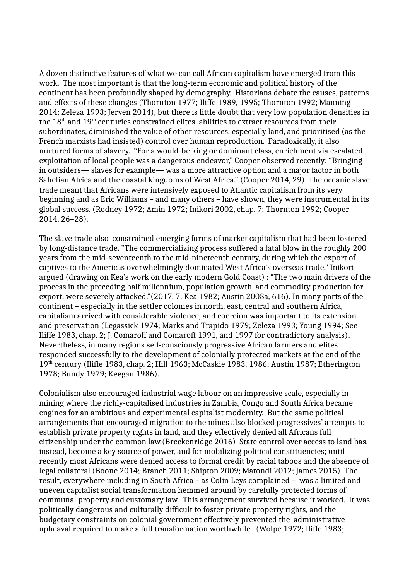A dozen distinctive features of what we can call African capitalism have emerged from this work. The most important is that the long-term economic and political history of the continent has been profoundly shaped by demography. Historians debate the causes, patterns and effects of these changes (Thornton 1977; Iliffe 1989, 1995; Thornton 1992; Manning 2014; Zeleza 1993; Jerven 2014), but there is little doubt that very low population densities in the  $18<sup>th</sup>$  and  $19<sup>th</sup>$  centuries constrained elites' abilities to extract resources from their subordinates, diminished the value of other resources, especially land, and prioritised (as the French marxists had insisted) control over human reproduction. Paradoxically, it also nurtured forms of slavery. "For a would-be king or dominant class, enrichment via escalated exploitation of local people was a dangerous endeavor," Cooper observed recently: "Bringing in outsiders— slaves for example— was a more attractive option and a major factor in both Sahelian Africa and the coastal kingdoms of West Africa." (Cooper 2014, 29) The oceanic slave trade meant that Africans were intensively exposed to Atlantic capitalism from its very beginning and as Eric Williams – and many others – have shown, they were instrumental in its global success. (Rodney 1972; Amin 1972; Inikori 2002, chap. 7; Thornton 1992; Cooper 2014, 26–28).

The slave trade also constrained emerging forms of market capitalism that had been fostered by long-distance trade. "The commercializing process suffered a fatal blow in the roughly 200 years from the mid-seventeenth to the mid-nineteenth century, during which the export of captives to the Americas overwhelmingly dominated West Africa's overseas trade," Inikori argued (drawing on Kea's work on the early modern Gold Coast) : "The two main drivers of the process in the preceding half millennium, population growth, and commodity production for export, were severely attacked."(2017, 7; Kea 1982; Austin 2008a, 616). In many parts of the continent – especially in the settler colonies in north, east, central and southern Africa, capitalism arrived with considerable violence, and coercion was important to its extension and preservation (Legassick 1974; Marks and Trapido 1979; Zeleza 1993; Young 1994; See Iliffe 1983, chap. 2; J. Comaroff and Comaroff 1991, and 1997 for contradictory analysis). Nevertheless, in many regions self-consciously progressive African farmers and elites responded successfully to the development of colonially protected markets at the end of the 19th century (Iliffe 1983, chap. 2; Hill 1963; McCaskie 1983, 1986; Austin 1987; Etherington 1978; Bundy 1979; Keegan 1986).

Colonialism also encouraged industrial wage labour on an impressive scale, especially in mining where the richly-capitalised industries in Zambia, Congo and South Africa became engines for an ambitious and experimental capitalist modernity. But the same political arrangements that encouraged migration to the mines also blocked progressives' attempts to establish private property rights in land, and they effectively denied all Africans full citizenship under the common law.(Breckenridge 2016) State control over access to land has, instead, become a key source of power, and for mobilizing political constituencies; until recently most Africans were denied access to formal credit by racial taboos and the absence of legal collateral.(Boone 2014; Branch 2011; Shipton 2009; Matondi 2012; James 2015) The result, everywhere including in South Africa – as Colin Leys complained – was a limited and uneven capitalist social transformation hemmed around by carefully protected forms of communal property and customary law. This arrangement survived because it worked. It was politically dangerous and culturally difficult to foster private property rights, and the budgetary constraints on colonial government effectively prevented the administrative upheaval required to make a full transformation worthwhile. (Wolpe 1972; Iliffe 1983;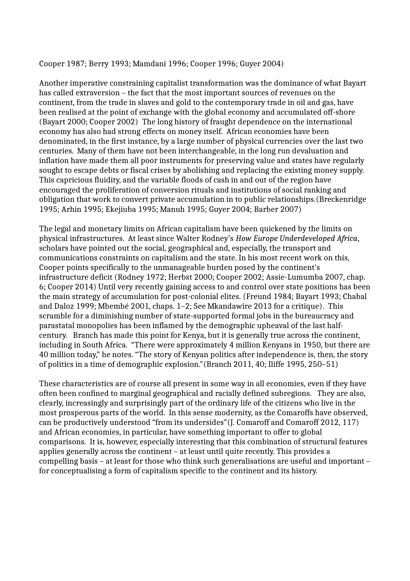#### Cooper 1987; Berry 1993; Mamdani 1996; Cooper 1996; Guyer 2004)

Another imperative constraining capitalist transformation was the dominance of what Bayart has called extraversion – the fact that the most important sources of revenues on the continent, from the trade in slaves and gold to the contemporary trade in oil and gas, have been realised at the point of exchange with the global economy and accumulated off-shore (Bayart 2000; Cooper 2002) The long history of fraught dependence on the international economy has also had strong effects on money itself. African economies have been denominated, in the first instance, by a large number of physical currencies over the last two centuries. Many of them have not been interchangeable, in the long run devaluation and inflation have made them all poor instruments for preserving value and states have regularly sought to escape debts or fiscal crises by abolishing and replacing the existing money supply. This capricious fluidity, and the variable floods of cash in and out of the region have encouraged the proliferation of conversion rituals and institutions of social ranking and obligation that work to convert private accumulation in to public relationships.(Breckenridge 1995; Arhin 1995; Ekejiuba 1995; Manuh 1995; Guyer 2004; Barber 2007)

The legal and monetary limits on African capitalism have been quickened by the limits on physical infrastructures. At least since Walter Rodney's *How Europe Underdeveloped Africa*, scholars have pointed out the social, geographical and, especially, the transport and communications constraints on capitalism and the state. In his most recent work on this, Cooper points specifically to the unmanageable burden posed by the continent's infrastructure deficit (Rodney 1972; Herbst 2000; Cooper 2002; Assie-Lumumba 2007, chap. 6; Cooper 2014) Until very recently gaining access to and control over state positions has been the main strategy of accumulation for post-colonial elites. (Freund 1984; Bayart 1993; Chabal and Daloz 1999; Mbembé 2001, chaps. 1–2; See Mkandawire 2013 for a critique). This scramble for a diminishing number of state-supported formal jobs in the bureaucracy and parastatal monopolies has been inflamed by the demographic upheaval of the last halfcentury. Branch has made this point for Kenya, but it is generally true across the continent, including in South Africa. "There were approximately 4 million Kenyans in 1950, but there are 40 million today," he notes. "The story of Kenyan politics after independence is, then, the story of politics in a time of demographic explosion."(Branch 2011, 40; Iliffe 1995, 250–51)

These characteristics are of course all present in some way in all economies, even if they have often been confined to marginal geographical and racially defined subregions. They are also, clearly, increasingly and surprisingly part of the ordinary life of the citizens who live in the most prosperous parts of the world. In this sense modernity, as the Comaroffs have observed, can be productively understood "from its undersides"(J. Comaroff and Comaroff 2012, 117) and African economies, in particular, have something important to offer to global comparisons. It is, however, especially interesting that this combination of structural features applies generally across the continent – at least until quite recently. This provides a compelling basis – at least for those who think such generalisations are useful and important – for conceptualising a form of capitalism specific to the continent and its history.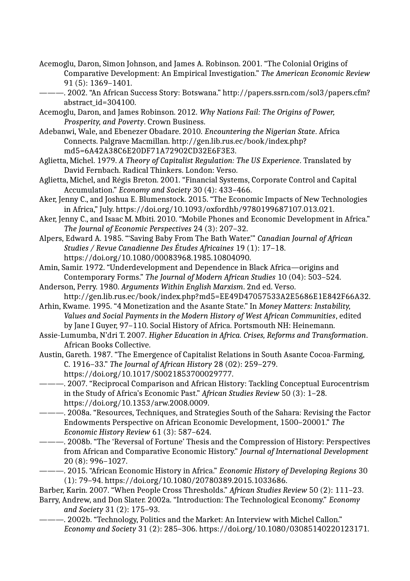- Acemoglu, Daron, Simon Johnson, and James A. Robinson. 2001. "The Colonial Origins of Comparative Development: An Empirical Investigation." *The American Economic Review* 91 (5): 1369–1401.
- ———. 2002. "An African Success Story: Botswana." http://papers.ssrn.com/sol3/papers.cfm? abstract\_id=304100.
- Acemoglu, Daron, and James Robinson. 2012. *Why Nations Fail: The Origins of Power, Prosperity, and Poverty*. Crown Business.
- Adebanwi, Wale, and Ebenezer Obadare. 2010. *Encountering the Nigerian State*. Africa Connects. Palgrave Macmillan. http://gen.lib.rus.ec/book/index.php? md5=6A42A38C6E20DF71A72902CD32E6F3E3.
- Aglietta, Michel. 1979. *A Theory of Capitalist Regulation: The US Experience*. Translated by David Fernbach. Radical Thinkers. London: Verso.
- Aglietta, Michel, and Régis Breton. 2001. "Financial Systems, Corporate Control and Capital Accumulation." *Economy and Society* 30 (4): 433–466.
- Aker, Jenny C., and Joshua E. Blumenstock. 2015. "The Economic Impacts of New Technologies in Africa," July. https://doi.org/10.1093/oxfordhb/9780199687107.013.021.
- Aker, Jenny C., and Isaac M. Mbiti. 2010. "Mobile Phones and Economic Development in Africa." *The Journal of Economic Perspectives* 24 (3): 207–32.
- Alpers, Edward A. 1985. "'Saving Baby From The Bath Water.'" *Canadian Journal of African Studies / Revue Canadienne Des Études Africaines* 19 (1): 17–18. https://doi.org/10.1080/00083968.1985.10804090.
- Amin, Samir. 1972. "Underdevelopment and Dependence in Black Africa—origins and Contemporary Forms." *The Journal of Modern African Studies* 10 (04): 503–524.
- Anderson, Perry. 1980. *Arguments Within English Marxism*. 2nd ed. Verso. http://gen.lib.rus.ec/book/index.php?md5=EE49D47057533A2E5686E1E842F66A32.
- Arhin, Kwame. 1995. "4 Monetization and the Asante State." In *Money Matters: Instability, Values and Social Payments in the Modern History of West African Communities*, edited by Jane I Guyer, 97–110. Social History of Africa. Portsmouth NH: Heinemann.
- Assie-Lumumba, N'dri T. 2007. *Higher Education in Africa. Crises, Reforms and Transformation*. African Books Collective.
- Austin, Gareth. 1987. "The Emergence of Capitalist Relations in South Asante Cocoa-Farming, C. 1916–33." *The Journal of African History* 28 (02): 259–279. https://doi.org/10.1017/S0021853700029777.
- ———. 2007. "Reciprocal Comparison and African History: Tackling Conceptual Eurocentrism in the Study of Africa's Economic Past." *African Studies Review* 50 (3): 1–28. https://doi.org/10.1353/arw.2008.0009.
- ———. 2008a. "Resources, Techniques, and Strategies South of the Sahara: Revising the Factor Endowments Perspective on African Economic Development, 1500–20001." *The Economic History Review* 61 (3): 587–624.
- ———. 2008b. "The 'Reversal of Fortune' Thesis and the Compression of History: Perspectives from African and Comparative Economic History." *Journal of International Development* 20 (8): 996–1027.
- ———. 2015. "African Economic History in Africa." *Economic History of Developing Regions* 30 (1): 79–94. https://doi.org/10.1080/20780389.2015.1033686.

Barber, Karin. 2007. "When People Cross Thresholds." *African Studies Review* 50 (2): 111–23.

- Barry, Andrew, and Don Slater. 2002a. "Introduction: The Technological Economy." *Economy and Society* 31 (2): 175–93.
- ———. 2002b. "Technology, Politics and the Market: An Interview with Michel Callon." *Economy and Society* 31 (2): 285–306. https://doi.org/10.1080/03085140220123171.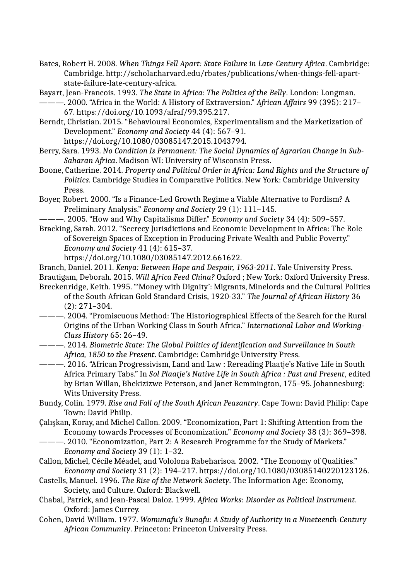- Bates, Robert H. 2008. *When Things Fell Apart: State Failure in Late-Century Africa*. Cambridge: Cambridge. http://scholar.harvard.edu/rbates/publications/when-things-fell-apartstate-failure-late-century-africa.
- Bayart, Jean-Francois. 1993. *The State in Africa: The Politics of the Belly*. London: Longman.
- ———. 2000. "Africa in the World: A History of Extraversion." *African Affairs* 99 (395): 217– 67. https://doi.org/10.1093/afraf/99.395.217.
- Berndt, Christian. 2015. "Behavioural Economics, Experimentalism and the Marketization of Development." *Economy and Society* 44 (4): 567–91. https://doi.org/10.1080/03085147.2015.1043794.
- Berry, Sara. 1993. *No Condition Is Permanent: The Social Dynamics of Agrarian Change in Sub-Saharan Africa*. Madison WI: University of Wisconsin Press.
- Boone, Catherine. 2014. *Property and Political Order in Africa: Land Rights and the Structure of Politics*. Cambridge Studies in Comparative Politics. New York: Cambridge University Press.
- Boyer, Robert. 2000. "Is a Finance-Led Growth Regime a Viable Alternative to Fordism? A Preliminary Analysis." *Economy and Society* 29 (1): 111–145.
- ———. 2005. "How and Why Capitalisms Differ." *Economy and Society* 34 (4): 509–557.
- Bracking, Sarah. 2012. "Secrecy Jurisdictions and Economic Development in Africa: The Role of Sovereign Spaces of Exception in Producing Private Wealth and Public Poverty." *Economy and Society* 41 (4): 615–37.
	- https://doi.org/10.1080/03085147.2012.661622.
- Branch, Daniel. 2011. *Kenya: Between Hope and Despair, 1963-2011*. Yale University Press. Brautigam, Deborah. 2015. *Will Africa Feed China?* Oxford ; New York: Oxford University Press.
- Breckenridge, Keith. 1995. "'Money with Dignity': Migrants, Minelords and the Cultural Politics of the South African Gold Standard Crisis, 1920-33." *The Journal of African History* 36 (2): 271–304.
- ———. 2004. "Promiscuous Method: The Historiographical Effects of the Search for the Rural Origins of the Urban Working Class in South Africa." *International Labor and Working-Class History* 65: 26–49.
- ———. 2014. *Biometric State: The Global Politics of Identification and Surveillance in South Africa, 1850 to the Present*. Cambridge: Cambridge University Press.
- ———. 2016. "African Progressivism, Land and Law : Rereading Plaatje's Native Life in South Africa Primary Tabs." In *Sol Plaatje's Native Life in South Africa : Past and Present*, edited by Brian Willan, Bhekizizwe Peterson, and Janet Remmington, 175–95. Johannesburg: Wits University Press.
- Bundy, Colin. 1979. *Rise and Fall of the South African Peasantry*. Cape Town: David Philip: Cape Town: David Philip.
- Çalışkan, Koray, and Michel Callon. 2009. "Economization, Part 1: Shifting Attention from the Economy towards Processes of Economization." *Economy and Society* 38 (3): 369–398.
	- ———. 2010. "Economization, Part 2: A Research Programme for the Study of Markets." *Economy and Society* 39 (1): 1–32.
- Callon, Michel, Cécile Méadel, and Vololona Rabeharisoa. 2002. "The Economy of Qualities." *Economy and Society* 31 (2): 194–217. https://doi.org/10.1080/03085140220123126.
- Castells, Manuel. 1996. *The Rise of the Network Society*. The Information Age: Economy, Society, and Culture. Oxford: Blackwell.
- Chabal, Patrick, and Jean-Pascal Daloz. 1999. *Africa Works: Disorder as Political Instrument*. Oxford: James Currey.
- Cohen, David William. 1977. *Womunafu's Bunafu: A Study of Authority in a Nineteenth-Century African Community*. Princeton: Princeton University Press.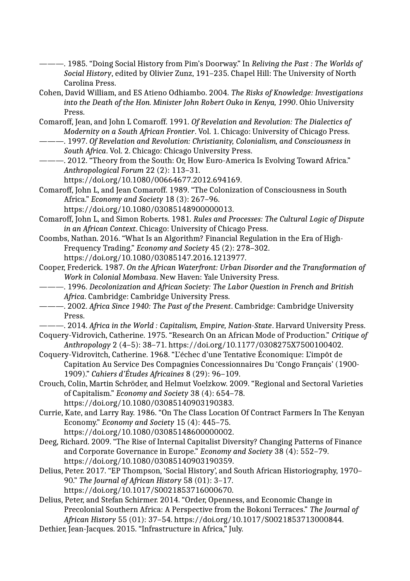- ———. 1985. "Doing Social History from Pim's Doorway." In *Reliving the Past : The Worlds of Social History*, edited by Olivier Zunz, 191–235. Chapel Hill: The University of North Carolina Press.
- Cohen, David William, and ES Atieno Odhiambo. 2004. *The Risks of Knowledge: Investigations into the Death of the Hon. Minister John Robert Ouko in Kenya, 1990*. Ohio University Press.
- Comaroff, Jean, and John L Comaroff. 1991. *Of Revelation and Revolution: The Dialectics of Modernity on a South African Frontier*. Vol. 1. Chicago: University of Chicago Press.
- ———. 1997. *Of Revelation and Revolution: Christianity, Colonialism, and Consciousness in South Africa*. Vol. 2. Chicago: Chicago University Press.
- ———. 2012. "Theory from the South: Or, How Euro-America Is Evolving Toward Africa." *Anthropological Forum* 22 (2): 113–31.
	- https://doi.org/10.1080/00664677.2012.694169.
- Comaroff, John L, and Jean Comaroff. 1989. "The Colonization of Consciousness in South Africa." *Economy and Society* 18 (3): 267–96. https://doi.org/10.1080/03085148900000013.
- Comaroff, John L, and Simon Roberts. 1981. *Rules and Processes: The Cultural Logic of Dispute in an African Context*. Chicago: University of Chicago Press.
- Coombs, Nathan. 2016. "What Is an Algorithm? Financial Regulation in the Era of High-Frequency Trading." *Economy and Society* 45 (2): 278–302. https://doi.org/10.1080/03085147.2016.1213977.
- Cooper, Frederick. 1987. *On the African Waterfront: Urban Disorder and the Transformation of Work in Colonial Mombasa*. New Haven: Yale University Press.
- ———. 1996. *Decolonization and African Society: The Labor Question in French and British Africa*. Cambridge: Cambridge University Press.
- ———. 2002. *Africa Since 1940: The Past of the Present*. Cambridge: Cambridge University Press.
- ———. 2014. *Africa in the World : Capitalism, Empire, Nation-State*. Harvard University Press.
- Coquery-Vidrovich, Catherine. 1975. "Research On an African Mode of Production." *Critique of Anthropology* 2 (4–5): 38–71. https://doi.org/10.1177/0308275X7500100402.
- Coquery-Vidrovitch, Catherine. 1968. "L'échec d'une Tentative Économique: L'impôt de Capitation Au Service Des Compagnies Concessionnaires Du 'Congo Français' (1900- 1909)." *Cahiers d'Études Africaines* 8 (29): 96–109.
- Crouch, Colin, Martin Schröder, and Helmut Voelzkow. 2009. "Regional and Sectoral Varieties of Capitalism." *Economy and Society* 38 (4): 654–78. https://doi.org/10.1080/03085140903190383.
- Currie, Kate, and Larry Ray. 1986. "On The Class Location Of Contract Farmers In The Kenyan Economy." *Economy and Society* 15 (4): 445–75. https://doi.org/10.1080/03085148600000002.
- Deeg, Richard. 2009. "The Rise of Internal Capitalist Diversity? Changing Patterns of Finance and Corporate Governance in Europe." *Economy and Society* 38 (4): 552–79. https://doi.org/10.1080/03085140903190359.
- Delius, Peter. 2017. "EP Thompson, 'Social History', and South African Historiography, 1970– 90." *The Journal of African History* 58 (01): 3–17. https://doi.org/10.1017/S0021853716000670.
- Delius, Peter, and Stefan Schirmer. 2014. "Order, Openness, and Economic Change in Precolonial Southern Africa: A Perspective from the Bokoni Terraces." *The Journal of African History* 55 (01): 37–54. https://doi.org/10.1017/S0021853713000844.
- Dethier, Jean-Jacques. 2015. "Infrastructure in Africa," July.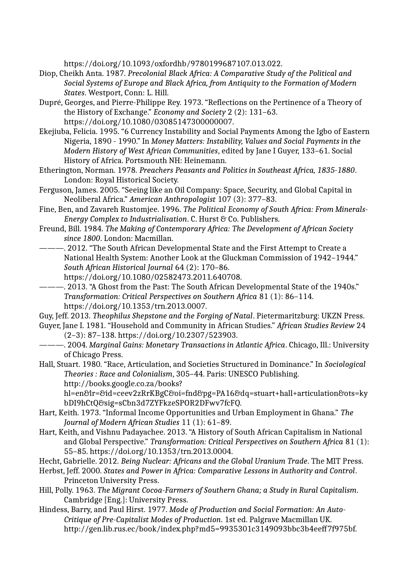https://doi.org/10.1093/oxfordhb/9780199687107.013.022.

- Diop, Cheikh Anta. 1987. *Precolonial Black Africa: A Comparative Study of the Political and Social Systems of Europe and Black Africa, from Antiquity to the Formation of Modern States*. Westport, Conn: L. Hill.
- Dupré, Georges, and Pierre-Philippe Rey. 1973. "Reflections on the Pertinence of a Theory of the History of Exchange." *Economy and Society* 2 (2): 131–63. https://doi.org/10.1080/03085147300000007.
- Ekejiuba, Felicia. 1995. "6 Currency Instability and Social Payments Among the Igbo of Eastern Nigeria, 1890 - 1990." In *Money Matters: Instability, Values and Social Payments in the Modern History of West African Communities*, edited by Jane I Guyer, 133–61. Social History of Africa. Portsmouth NH: Heinemann.
- Etherington, Norman. 1978. *Preachers Peasants and Politics in Southeast Africa, 1835-1880*. London: Royal Historical Society.
- Ferguson, James. 2005. "Seeing like an Oil Company: Space, Security, and Global Capital in Neoliberal Africa." *American Anthropologist* 107 (3): 377–83.
- Fine, Ben, and Zavareh Rustomjee. 1996. *The Political Economy of South Africa: From Minerals-Energy Complex to Industrialisation*. C. Hurst & Co. Publishers.
- Freund, Bill. 1984. *The Making of Contemporary Africa: The Development of African Society since 1800*. London: Macmillan.
- -. 2012. "The South African Developmental State and the First Attempt to Create a National Health System: Another Look at the Gluckman Commission of 1942–1944." *South African Historical Journal* 64 (2): 170–86. https://doi.org/10.1080/02582473.2011.640708.
- ———. 2013. "A Ghost from the Past: The South African Developmental State of the 1940s." *Transformation: Critical Perspectives on Southern Africa* 81 (1): 86–114. https://doi.org/10.1353/trn.2013.0007.
- Guy, Jeff. 2013. *Theophilus Shepstone and the Forging of Natal*. Pietermaritzburg: UKZN Press.
- Guyer, Jane I. 1981. "Household and Community in African Studies." *African Studies Review* 24 (2–3): 87–138. https://doi.org/10.2307/523903.
- ———. 2004. *Marginal Gains: Monetary Transactions in Atlantic Africa*. Chicago, Ill.: University of Chicago Press.
- Hall, Stuart. 1980. "Race, Articulation, and Societies Structured in Dominance." In *Sociological Theories : Race and Colonialism*, 305–44. Paris: UNESCO Publishing. http://books.google.co.za/books?

hl=en&lr=&id=ceev2zRrKBgC&oi=fnd&pg=PA16&dq=stuart+hall+articulation&ots=ky bDI9hCtQ&sig=sCbn3d7ZYFkzeSPOR2DFwv7fcFQ.

- Hart, Keith. 1973. "Informal Income Opportunities and Urban Employment in Ghana." *The Journal of Modern African Studies* 11 (1): 61–89.
- Hart, Keith, and Vishnu Padayachee. 2013. "A History of South African Capitalism in National and Global Perspective." *Transformation: Critical Perspectives on Southern Africa* 81 (1): 55–85. https://doi.org/10.1353/trn.2013.0004.
- Hecht, Gabrielle. 2012. *Being Nuclear: Africans and the Global Uranium Trade*. The MIT Press.
- Herbst, Jeff. 2000. *States and Power in Africa: Comparative Lessons in Authority and Control*. Princeton University Press.
- Hill, Polly. 1963. *The Migrant Cocoa-Farmers of Southern Ghana; a Study in Rural Capitalism*. Cambridge [Eng.]: University Press.
- Hindess, Barry, and Paul Hirst. 1977. *Mode of Production and Social Formation: An Auto-Critique of Pre-Capitalist Modes of Production*. 1st ed. Palgrave Macmillan UK. http://gen.lib.rus.ec/book/index.php?md5=9935301c3149093bbc3b4eeff7f975bf.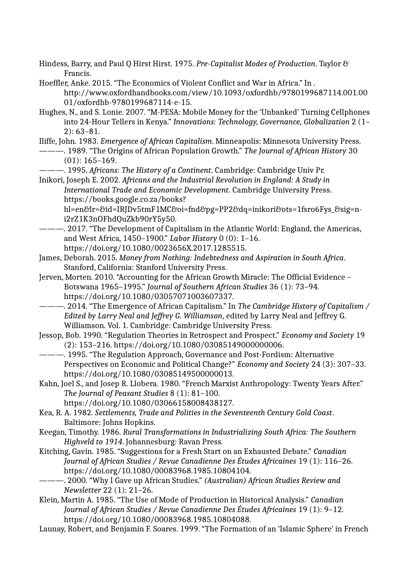Hindess, Barry, and Paul Q Hirst Hirst. 1975. *Pre-Capitalist Modes of Production*. Taylor & Francis.

Hoeffler, Anke. 2015. "The Economics of Violent Conflict and War in Africa." In . http://www.oxfordhandbooks.com/view/10.1093/oxfordhb/9780199687114.001.00 01/oxfordhb-9780199687114-e-15.

Hughes, N., and S. Lonie. 2007. "M-PESA: Mobile Money for the 'Unbanked' Turning Cellphones into 24-Hour Tellers in Kenya." *Innovations: Technology, Governance, Globalization* 2 (1– 2): 63–81.

Iliffe, John. 1983. *Emergence of African Capitalism*. Minneapolis: Minnesota University Press.

- ———. 1989. "The Origins of African Population Growth." *The Journal of African History* 30 (01): 165–169.
- ———. 1995. *Africans: The History of a Continent*. Cambridge: Cambridge Univ Pr.

Inikori, Joseph E. 2002. *Africans and the Industrial Revolution in England: A Study in International Trade and Economic Development*. Cambridge University Press. https://books.google.co.za/books?

hl=en&lr=&id=IRJDv5tmF1MC&oi=fnd&pg=PP2&dq=inikori&ots=1fsro6Fys\_&sig=ni2rZ1K3nOFhdQuZkb90rY5y50.

- ———. 2017. "The Development of Capitalism in the Atlantic World: England, the Americas, and West Africa, 1450–1900." *Labor History* 0 (0): 1–16. https://doi.org/10.1080/0023656X.2017.1285515.
- James, Deborah. 2015. *Money from Nothing: Indebtedness and Aspiration in South Africa*. Stanford, California: Stanford University Press.
- Jerven, Morten. 2010. "Accounting for the African Growth Miracle: The Official Evidence Botswana 1965–1995." *Journal of Southern African Studies* 36 (1): 73–94. https://doi.org/10.1080/03057071003607337.
- ———. 2014. "The Emergence of African Capitalism." In *The Cambridge History of Capitalism / Edited by Larry Neal and Jeffrey G. Williamson*, edited by Larry Neal and Jeffrey G. Williamson. Vol. 1. Cambridge: Cambridge University Press.
- Jessop, Bob. 1990. "Regulation Theories in Retrospect and Prospect." *Economy and Society* 19 (2): 153–216. https://doi.org/10.1080/03085149000000006.

———. 1995. "The Regulation Approach, Governance and Post-Fordism: Alternative Perspectives on Economic and Political Change?" *Economy and Society* 24 (3): 307–33. https://doi.org/10.1080/03085149500000013.

Kahn, Joel S., and Josep R. Llobera. 1980. "French Marxist Anthropology: Twenty Years After." *The Journal of Peasant Studies* 8 (1): 81–100. https://doi.org/10.1080/03066158008438127.

Kea, R. A. 1982. *Settlements, Trade and Polities in the Seventeenth Century Gold Coast*. Baltimore: Johns Hopkins.

Keegan, Timothy. 1986. *Rural Transformations in Industrializing South Africa: The Southern Highveld to 1914*. Johannesburg: Ravan Press.

- Kitching, Gavin. 1985. "Suggestions for a Fresh Start on an Exhausted Debate." *Canadian Journal of African Studies / Revue Canadienne Des Études Africaines* 19 (1): 116–26. https://doi.org/10.1080/00083968.1985.10804104.
- ———. 2000. "Why I Gave up African Studies." *(Australian) African Studies Review and Newsletter* 22 (1): 21–26.
- Klein, Martin A. 1985. "The Use of Mode of Production in Historical Analysis." *Canadian Journal of African Studies / Revue Canadienne Des Études Africaines* 19 (1): 9–12. https://doi.org/10.1080/00083968.1985.10804088.
- Launay, Robert, and Benjamin F. Soares. 1999. "The Formation of an 'Islamic Sphere' in French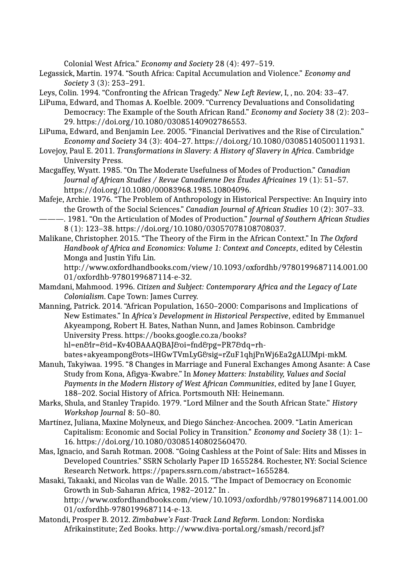Colonial West Africa." *Economy and Society* 28 (4): 497–519.

Legassick, Martin. 1974. "South Africa: Capital Accumulation and Violence." *Economy and Society* 3 (3): 253–291.

Leys, Colin. 1994. "Confronting the African Tragedy." *New Left Review*, I, , no. 204: 33–47.

- LiPuma, Edward, and Thomas A. Koelble. 2009. "Currency Devaluations and Consolidating Democracy: The Example of the South African Rand." *Economy and Society* 38 (2): 203– 29. https://doi.org/10.1080/03085140902786553.
- LiPuma, Edward, and Benjamin Lee. 2005. "Financial Derivatives and the Rise of Circulation." *Economy and Society* 34 (3): 404–27. https://doi.org/10.1080/03085140500111931.
- Lovejoy, Paul E. 2011. *Transformations in Slavery: A History of Slavery in Africa*. Cambridge University Press.
- Macgaffey, Wyatt. 1985. "On The Moderate Usefulness of Modes of Production." *Canadian Journal of African Studies / Revue Canadienne Des Études Africaines* 19 (1): 51–57. https://doi.org/10.1080/00083968.1985.10804096.
- Mafeje, Archie. 1976. "The Problem of Anthropology in Historical Perspective: An Inquiry into the Growth of the Social Sciences." *Canadian Journal of African Studies* 10 (2): 307–33.
- ———. 1981. "On the Articulation of Modes of Production." *Journal of Southern African Studies* 8 (1): 123–38. https://doi.org/10.1080/03057078108708037.
- Malikane, Christopher. 2015. "The Theory of the Firm in the African Context." In *The Oxford Handbook of Africa and Economics: Volume 1: Context and Concepts*, edited by Célestin Monga and Justin Yifu Lin.

http://www.oxfordhandbooks.com/view/10.1093/oxfordhb/9780199687114.001.00 01/oxfordhb-9780199687114-e-32.

- Mamdani, Mahmood. 1996. *Citizen and Subject: Contemporary Africa and the Legacy of Late Colonialism*. Cape Town: James Currey.
- Manning, Patrick. 2014. "African Population, 1650–2000: Comparisons and Implications of New Estimates." In *Africa's Development in Historical Perspective*, edited by Emmanuel Akyeampong, Robert H. Bates, Nathan Nunn, and James Robinson. Cambridge University Press. https://books.google.co.za/books?

hl=en&lr=&id=Kv4OBAAAQBAJ&oi=fnd&pg=PR7&dq=rh-

- bates+akyeampong&ots=lHGwTVmLyG&sig=rZuF1qhjPnWj6Ea2gALUMpi-mkM. Manuh, Takyiwaa. 1995. "8 Changes in Marriage and Funeral Exchanges Among Asante: A Case Study from Kona, Afigya-Kwabre." In *Money Matters: Instability, Values and Social Payments in the Modern History of West African Communities*, edited by Jane I Guyer, 188–202. Social History of Africa. Portsmouth NH: Heinemann.
- Marks, Shula, and Stanley Trapido. 1979. "Lord Milner and the South African State." *History Workshop Journal* 8: 50–80.
- Martínez, Juliana, Maxine Molyneux, and Diego Sánchez-Ancochea. 2009. "Latin American Capitalism: Economic and Social Policy in Transition." *Economy and Society* 38 (1): 1– 16. https://doi.org/10.1080/03085140802560470.
- Mas, Ignacio, and Sarah Rotman. 2008. "Going Cashless at the Point of Sale: Hits and Misses in Developed Countries." SSRN Scholarly Paper ID 1655284. Rochester, NY: Social Science Research Network. https://papers.ssrn.com/abstract=1655284.
- Masaki, Takaaki, and Nicolas van de Walle. 2015. "The Impact of Democracy on Economic Growth in Sub-Saharan Africa, 1982–2012." In . http://www.oxfordhandbooks.com/view/10.1093/oxfordhb/9780199687114.001.00 01/oxfordhb-9780199687114-e-13.
- Matondi, Prosper B. 2012. *Zimbabwe's Fast-Track Land Reform*. London: Nordiska Afrikainstitute; Zed Books. http://www.diva-portal.org/smash/record.jsf?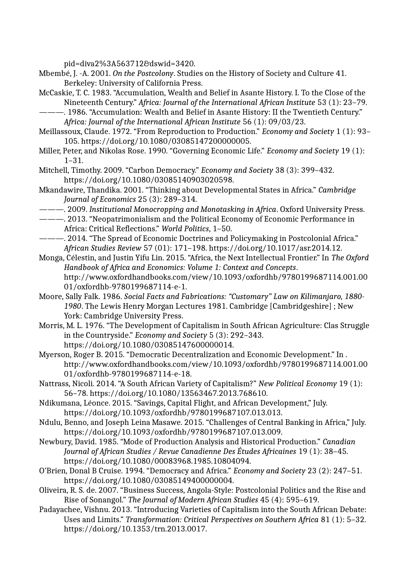pid=diva2%3A563712&dswid=3420.

- Mbembé, J. -A. 2001. *On the Postcolony*. Studies on the History of Society and Culture 41. Berkeley: University of California Press.
- McCaskie, T. C. 1983. "Accumulation, Wealth and Belief in Asante History. I. To the Close of the Nineteenth Century." *Africa: Journal of the International African Institute* 53 (1): 23–79.
- ———. 1986. "Accumulation: Wealth and Belief in Asante History: II the Twentieth Century." *Africa: Journal of the International African Institute* 56 (1): 09/03/23.
- Meillassoux, Claude. 1972. "From Reproduction to Production." *Economy and Society* 1 (1): 93– 105. https://doi.org/10.1080/03085147200000005.
- Miller, Peter, and Nikolas Rose. 1990. "Governing Economic Life." *Economy and Society* 19 (1): 1–31.
- Mitchell, Timothy. 2009. "Carbon Democracy." *Economy and Society* 38 (3): 399–432. https://doi.org/10.1080/03085140903020598.
- Mkandawire, Thandika. 2001. "Thinking about Developmental States in Africa." *Cambridge Journal of Economics* 25 (3): 289–314.
- ———. 2009. *Institutional Monocropping and Monotasking in Africa*. Oxford University Press.
- ———. 2013. "Neopatrimonialism and the Political Economy of Economic Performance in Africa: Critical Reflections." *World Politics*, 1–50.
- ———. 2014. "The Spread of Economic Doctrines and Policymaking in Postcolonial Africa." *African Studies Review* 57 (01): 171–198. https://doi.org/10.1017/asr.2014.12.
- Monga, Célestin, and Justin Yifu Lin. 2015. "Africa, the Next Intellectual Frontier." In *The Oxford Handbook of Africa and Economics: Volume 1: Context and Concepts*. http://www.oxfordhandbooks.com/view/10.1093/oxfordhb/9780199687114.001.00 01/oxfordhb-9780199687114-e-1.
- Moore, Sally Falk. 1986. *Social Facts and Fabrications: "Customary" Law on Kilimanjaro, 1880- 1980*. The Lewis Henry Morgan Lectures 1981. Cambridge [Cambridgeshire] ; New York: Cambridge University Press.
- Morris, M. L. 1976. "The Development of Capitalism in South African Agriculture: Clas Struggle in the Countryside." *Economy and Society* 5 (3): 292–343. https://doi.org/10.1080/03085147600000014.
- Myerson, Roger B. 2015. "Democratic Decentralization and Economic Development." In . http://www.oxfordhandbooks.com/view/10.1093/oxfordhb/9780199687114.001.00 01/oxfordhb-9780199687114-e-18.
- Nattrass, Nicoli. 2014. "A South African Variety of Capitalism?" *New Political Economy* 19 (1): 56–78. https://doi.org/10.1080/13563467.2013.768610.
- Ndikumana, Léonce. 2015. "Savings, Capital Flight, and African Development," July. https://doi.org/10.1093/oxfordhb/9780199687107.013.013.
- Ndulu, Benno, and Joseph Leina Masawe. 2015. "Challenges of Central Banking in Africa," July. https://doi.org/10.1093/oxfordhb/9780199687107.013.009.
- Newbury, David. 1985. "Mode of Production Analysis and Historical Production." *Canadian Journal of African Studies / Revue Canadienne Des Études Africaines* 19 (1): 38–45. https://doi.org/10.1080/00083968.1985.10804094.
- O'Brien, Donal B Cruise. 1994. "Democracy and Africa." *Economy and Society* 23 (2): 247–51. https://doi.org/10.1080/03085149400000004.
- Oliveira, R. S. de. 2007. "Business Success, Angola-Style: Postcolonial Politics and the Rise and Rise of Sonangol." *The Journal of Modern African Studies* 45 (4): 595–619.
- Padayachee, Vishnu. 2013. "Introducing Varieties of Capitalism into the South African Debate: Uses and Limits." *Transformation: Critical Perspectives on Southern Africa* 81 (1): 5–32. https://doi.org/10.1353/trn.2013.0017.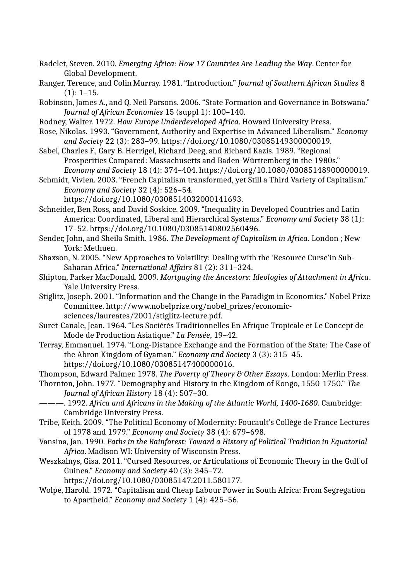- Radelet, Steven. 2010. *Emerging Africa: How 17 Countries Are Leading the Way*. Center for Global Development.
- Ranger, Terence, and Colin Murray. 1981. "Introduction." *Journal of Southern African Studies* 8  $(1): 1-15.$
- Robinson, James A., and Q. Neil Parsons. 2006. "State Formation and Governance in Botswana." *Journal of African Economies* 15 (suppl 1): 100–140.
- Rodney, Walter. 1972. *How Europe Underdeveloped Africa*. Howard University Press.
- Rose, Nikolas. 1993. "Government, Authority and Expertise in Advanced Liberalism." *Economy and Society* 22 (3): 283–99. https://doi.org/10.1080/03085149300000019.
- Sabel, Charles F., Gary B. Herrigel, Richard Deeg, and Richard Kazis. 1989. "Regional Prosperities Compared: Massachusetts and Baden-Württemberg in the 1980s." *Economy and Society* 18 (4): 374–404. https://doi.org/10.1080/03085148900000019.
- Schmidt, Vivien. 2003. "French Capitalism transformed, yet Still a Third Variety of Capitalism." *Economy and Society* 32 (4): 526–54.
	- https://doi.org/10.1080/0308514032000141693.
- Schneider, Ben Ross, and David Soskice. 2009. "Inequality in Developed Countries and Latin America: Coordinated, Liberal and Hierarchical Systems." *Economy and Society* 38 (1): 17–52. https://doi.org/10.1080/03085140802560496.
- Sender, John, and Sheila Smith. 1986. *The Development of Capitalism in Africa*. London ; New York: Methuen.
- Shaxson, N. 2005. "New Approaches to Volatility: Dealing with the 'Resource Curse'in Sub-Saharan Africa." *International Affairs* 81 (2): 311–324.
- Shipton, Parker MacDonald. 2009. *Mortgaging the Ancestors: Ideologies of Attachment in Africa*. Yale University Press.
- Stiglitz, Joseph. 2001. "Information and the Change in the Paradigm in Economics." Nobel Prize Committee. http://www.nobelprize.org/nobel\_prizes/economicsciences/laureates/2001/stiglitz-lecture.pdf.
- Suret-Canale, Jean. 1964. "Les Sociétés Traditionnelles En Afrique Tropicale et Le Concept de Mode de Production Asiatique." *La Pensée*, 19–42.
- Terray, Emmanuel. 1974. "Long-Distance Exchange and the Formation of the State: The Case of the Abron Kingdom of Gyaman." *Economy and Society* 3 (3): 315–45. https://doi.org/10.1080/03085147400000016.
- Thompson, Edward Palmer. 1978. *The Poverty of Theory & Other Essays*. London: Merlin Press.

Thornton, John. 1977. "Demography and History in the Kingdom of Kongo, 1550-1750." *The Journal of African History* 18 (4): 507–30.

- ———. 1992. *Africa and Africans in the Making of the Atlantic World, 1400-1680*. Cambridge: Cambridge University Press.
- Tribe, Keith. 2009. "The Political Economy of Modernity: Foucault's Collège de France Lectures of 1978 and 1979." *Economy and Society* 38 (4): 679–698.
- Vansina, Jan. 1990. *Paths in the Rainforest: Toward a History of Political Tradition in Equatorial Africa*. Madison WI: University of Wisconsin Press.
- Weszkalnys, Gisa. 2011. "Cursed Resources, or Articulations of Economic Theory in the Gulf of Guinea." *Economy and Society* 40 (3): 345–72.
	- https://doi.org/10.1080/03085147.2011.580177.
- Wolpe, Harold. 1972. "Capitalism and Cheap Labour Power in South Africa: From Segregation to Apartheid." *Economy and Society* 1 (4): 425–56.